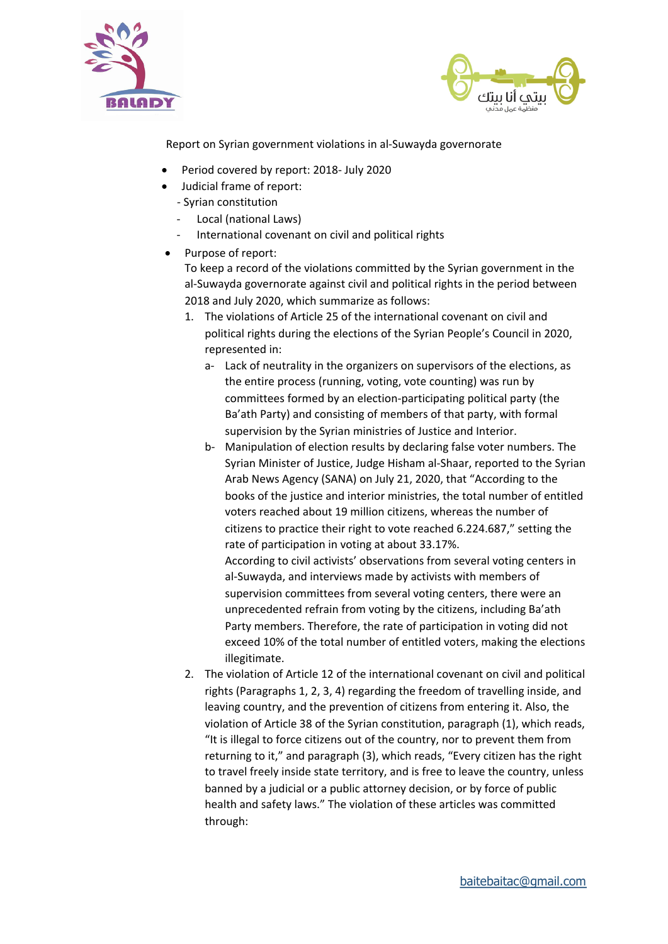



Report on Syrian government violations in al-Suwayda governorate

- Period covered by report: 2018- July 2020
- Judicial frame of report:
	- Syrian constitution
		- Local (national Laws)
		- International covenant on civil and political rights
- Purpose of report:

To keep a record of the violations committed by the Syrian government in the al-Suwayda governorate against civil and political rights in the period between 2018 and July 2020, which summarize as follows:

- 1. The violations of Article 25 of the international covenant on civil and political rights during the elections of the Syrian People's Council in 2020, represented in:
	- a- Lack of neutrality in the organizers on supervisors of the elections, as the entire process (running, voting, vote counting) was run by committees formed by an election-participating political party (the Ba'ath Party) and consisting of members of that party, with formal supervision by the Syrian ministries of Justice and Interior.
	- b- Manipulation of election results by declaring false voter numbers. The Syrian Minister of Justice, Judge Hisham al-Shaar, reported to the Syrian Arab News Agency (SANA) on July 21, 2020, that "According to the books of the justice and interior ministries, the total number of entitled voters reached about 19 million citizens, whereas the number of citizens to practice their right to vote reached 6.224.687," setting the rate of participation in voting at about 33.17%.

According to civil activists' observations from several voting centers in al-Suwayda, and interviews made by activists with members of supervision committees from several voting centers, there were an unprecedented refrain from voting by the citizens, including Ba'ath Party members. Therefore, the rate of participation in voting did not exceed 10% of the total number of entitled voters, making the elections illegitimate. 

2. The violation of Article 12 of the international covenant on civil and political rights (Paragraphs 1, 2, 3, 4) regarding the freedom of travelling inside, and leaving country, and the prevention of citizens from entering it. Also, the violation of Article 38 of the Syrian constitution, paragraph (1), which reads, "It is illegal to force citizens out of the country, nor to prevent them from returning to it," and paragraph (3), which reads, "Every citizen has the right to travel freely inside state territory, and is free to leave the country, unless banned by a judicial or a public attorney decision, or by force of public health and safety laws." The violation of these articles was committed through: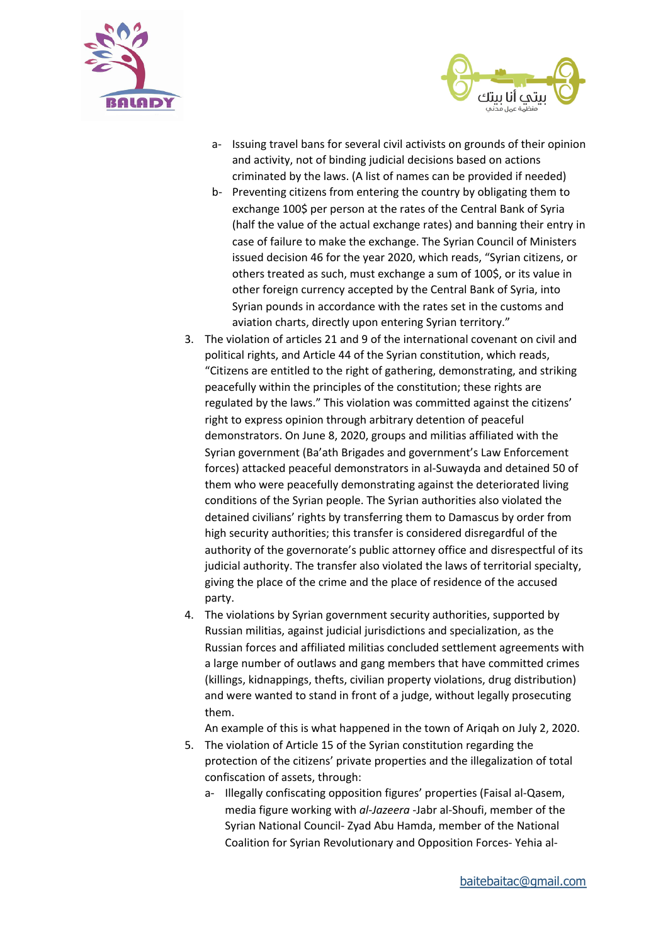



- a- Issuing travel bans for several civil activists on grounds of their opinion and activity, not of binding judicial decisions based on actions criminated by the laws. (A list of names can be provided if needed)
- b- Preventing citizens from entering the country by obligating them to exchange 100\$ per person at the rates of the Central Bank of Syria (half the value of the actual exchange rates) and banning their entry in case of failure to make the exchange. The Syrian Council of Ministers issued decision 46 for the year 2020, which reads, "Syrian citizens, or others treated as such, must exchange a sum of 100\$, or its value in other foreign currency accepted by the Central Bank of Syria, into Syrian pounds in accordance with the rates set in the customs and aviation charts, directly upon entering Syrian territory."
- 3. The violation of articles 21 and 9 of the international covenant on civil and political rights, and Article 44 of the Syrian constitution, which reads, "Citizens are entitled to the right of gathering, demonstrating, and striking peacefully within the principles of the constitution; these rights are regulated by the laws." This violation was committed against the citizens' right to express opinion through arbitrary detention of peaceful demonstrators. On June 8, 2020, groups and militias affiliated with the Syrian government (Ba'ath Brigades and government's Law Enforcement forces) attacked peaceful demonstrators in al-Suwayda and detained 50 of them who were peacefully demonstrating against the deteriorated living conditions of the Syrian people. The Syrian authorities also violated the detained civilians' rights by transferring them to Damascus by order from high security authorities; this transfer is considered disregardful of the authority of the governorate's public attorney office and disrespectful of its judicial authority. The transfer also violated the laws of territorial specialty, giving the place of the crime and the place of residence of the accused party.
- 4. The violations by Syrian government security authorities, supported by Russian militias, against judicial jurisdictions and specialization, as the Russian forces and affiliated militias concluded settlement agreements with a large number of outlaws and gang members that have committed crimes (killings, kidnappings, thefts, civilian property violations, drug distribution) and were wanted to stand in front of a judge, without legally prosecuting them.

An example of this is what happened in the town of Arigah on July 2, 2020.

- 5. The violation of Article 15 of the Syrian constitution regarding the protection of the citizens' private properties and the illegalization of total confiscation of assets, through:
	- a- Illegally confiscating opposition figures' properties (Faisal al-Qasem, media figure working with *al-Jazeera* -Jabr al-Shoufi, member of the Syrian National Council- Zyad Abu Hamda, member of the National Coalition for Syrian Revolutionary and Opposition Forces- Yehia al-